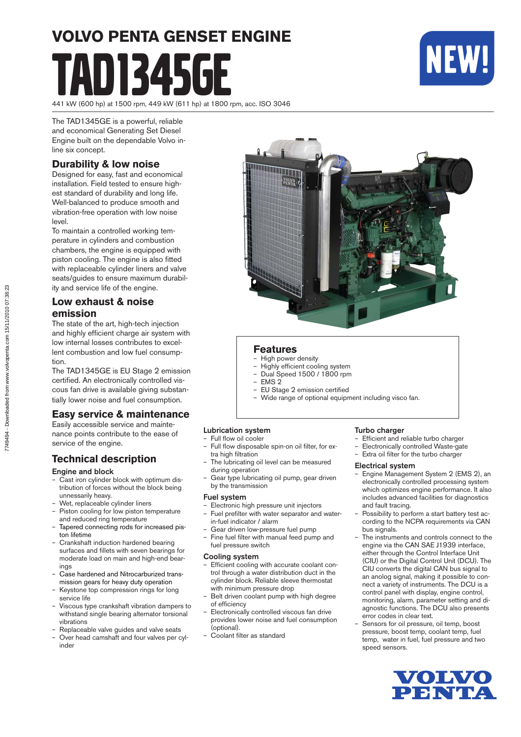# **VOLVO PENTA GENSET ENGINE** D1345GF



441 kW (600 hp) at 1500 rpm, 449 kW (611 hp) at 1800 rpm, acc. ISO 3046

The TAD1345GE is a powerful, reliable and economical Generating Set Diesel Engine built on the dependable Volvo inline six concept.

#### **Durability & low noise**

Designed for easy, fast and economical installation. Field tested to ensure highest standard of durability and long life. Well-balanced to produce smooth and vibration-free operation with low noise level.

To maintain a controlled working temperature in cylinders and combustion cham bers, the engine is equipped with piston cooling. The engine is also fitted with replaceable cylinder liners and valve seats/guides to ensure maximum durability and service life of the engine.

#### **Low exhaust & noise emission**

The state of the art, high-tech injection and highly efficient charge air system with low internal losses contributes to excellent combustion and low fuel consumption.

The TAD1345GE is EU Stage 2 emission certified. An electronically controlled viscous fan drive is available giving substantially lower noise and fuel consumption.

#### **Easy service & maintenance**

Easily accessible service and maintenance points contribute to the ease of service of the engine.

#### **Technical description**

#### Engine and block

- Cast iron cylinder block with optimum distribution of forces without the block being unnessarily heavy.
- Wet, replaceable cylinder liners
- Piston cooling for low piston temperature and reduced ring temperature
- Tapered connecting rods for increased piston lifetime
- Crankshaft induction hardened bearing surfaces and fillets with seven bearings for moderate load on main and high-end bearings
- Case hardened and Nitrocarburized transmis sion gears for heavy duty operation
- Keystone top compression rings for long service life
- Viscous type crankshaft vibration dampers to withstand single bearing alternator torsional vibrations
- Replaceable valve guides and valve seats
- Over head camshaft and four valves per cylinder



#### **Features**

- High power density
- Highly efficient cooling system – Dual Speed 1500 / 1800 rpm
- EMS 2
- EU Stage 2 emission certified
- Wide range of optional equipment including visco fan.

#### Lubrication system

- Full flow oil cooler
- Full flow disposable spin-on oil filter, for extra high filtration
- The lubricating oil level can be measured during operation
- Gear type lubricating oil pump, gear driven by the transmission

#### Fuel system

- Electronic high pressure unit injectors Fuel prefilter with water separator and water-
- in-fuel indicator / alarm
- Gear driven low-pressure fuel pump Fine fuel filter with manual feed pump and fuel pressure switch

#### Cooling system

- Efficient cooling with accurate coolant control through a water distribution duct in the cylinder block. Reliable sleeve thermostat with minimum pressure drop
- Belt driven coolant pump with high degree of efficiency
- Electronically controlled viscous fan drive provides lower noise and fuel consumption (optional).
- Coolant filter as standard

#### Turbo charger

- Efficient and reliable turbo charger
- Electronically controlled Waste-gate
- Extra oil filter for the turbo charger

#### Electrical system

- Engine Management System 2 (EMS 2), an electronically controlled processing system which optimizes engine performance. It also includes advanced facilities for diagnostics and fault tracing.
- Possibility to perform a start battery test according to the NCPA requirements via CAN bus signals.
- The instruments and controls connect to the engine via the CAN SAE J1939 interface, either through the Control Interface Unit (CIU) or the Digital Control Unit (DCU). The CIU converts the digital CAN bus signal to an anolog signal, making it possible to connect a variety of instruments. The DCU is a control panel with display, engine control, monitoring, alarm, parameter setting and diagnostic functions. The DCU also presents error codes in clear text.
- Sensors for oil pressure, oil temp, boost pressure, boost temp, coolant temp, fuel temp, water in fuel, fuel pressure and two speed sensors.